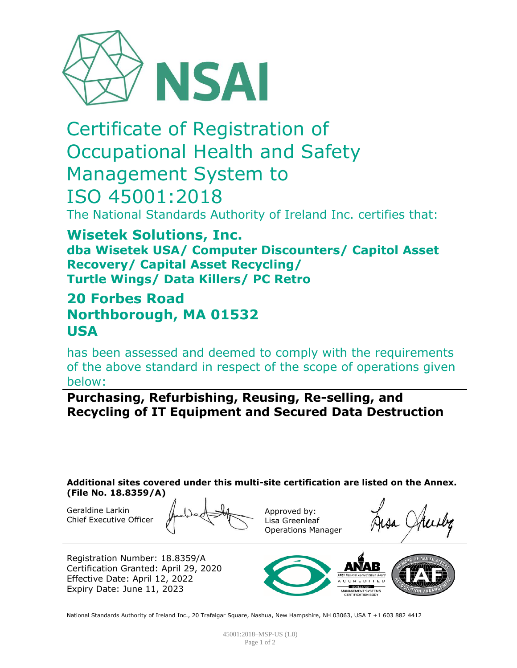

# Certificate of Registration of Occupational Health and Safety Management System to ISO 45001:2018

The National Standards Authority of Ireland Inc. certifies that:

**Wisetek Solutions, Inc. dba Wisetek USA/ Computer Discounters/ Capitol Asset Recovery/ Capital Asset Recycling/ Turtle Wings/ Data Killers/ PC Retro**

## **20 Forbes Road Northborough, MA 01532 USA**

has been assessed and deemed to comply with the requirements of the above standard in respect of the scope of operations given below:

**Purchasing, Refurbishing, Reusing, Re-selling, and Recycling of IT Equipment and Secured Data Destruction** 

**Additional sites covered under this multi-site certification are listed on the Annex. (File No. 18.8359/A)**

Geraldine Larkin Chief Executive Officer

Approved by: Lisa Greenleaf Operations Manager

Registration Number: 18.8359/A Certification Granted: April 29, 2020 Effective Date: April 12, 2022 Expiry Date: June 11, 2023

National Standards Authority of Ireland Inc., 20 Trafalgar Square, Nashua, New Hampshire, NH 03063, USA T +1 603 882 4412